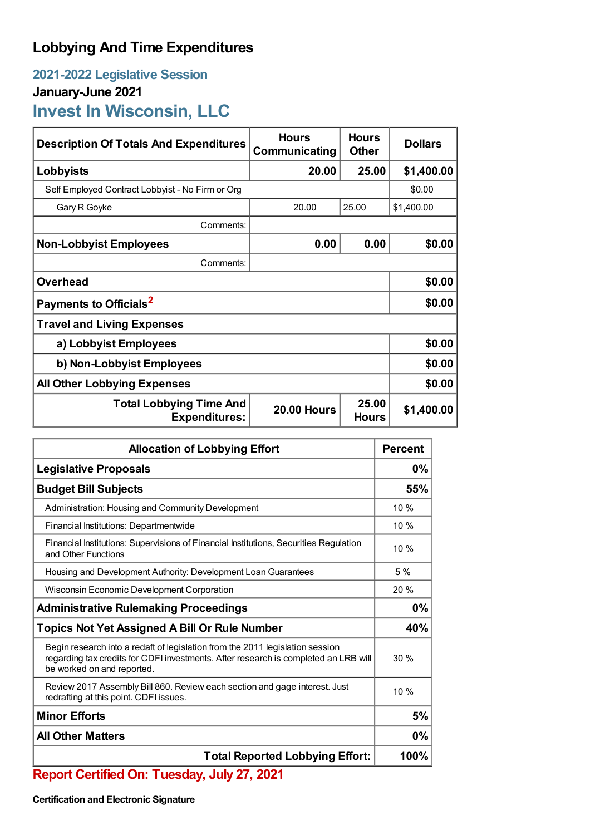## **Lobbying And Time Expenditures**

## **2021-2022 Legislative Session January-June 2021 Invest In Wisconsin, LLC**

| <b>Description Of Totals And Expenditures</b>                                                         | <b>Hours</b><br>Communicating | <b>Hours</b><br><b>Other</b> | <b>Dollars</b> |
|-------------------------------------------------------------------------------------------------------|-------------------------------|------------------------------|----------------|
| Lobbyists                                                                                             | 20.00                         | 25.00                        | \$1,400.00     |
| Self Employed Contract Lobbyist - No Firm or Org                                                      |                               | \$0.00                       |                |
| Gary R Goyke                                                                                          | 20.00                         | 25.00                        | \$1,400.00     |
| Comments:                                                                                             |                               |                              |                |
| <b>Non-Lobbyist Employees</b>                                                                         | 0.00                          | 0.00                         | \$0.00         |
| Comments:                                                                                             |                               |                              |                |
| <b>Overhead</b>                                                                                       |                               |                              | \$0.00         |
| Payments to Officials <sup>2</sup>                                                                    |                               |                              | \$0.00         |
| <b>Travel and Living Expenses</b>                                                                     |                               |                              |                |
| a) Lobbyist Employees                                                                                 | \$0.00                        |                              |                |
| b) Non-Lobbyist Employees                                                                             | \$0.00                        |                              |                |
| <b>All Other Lobbying Expenses</b>                                                                    | \$0.00                        |                              |                |
| 25.00<br><b>Total Lobbying Time And</b><br><b>20.00 Hours</b><br><b>Expenditures:</b><br><b>Hours</b> |                               |                              | \$1,400.00     |

| <b>Allocation of Lobbying Effort</b>                                                                                                                                                               |        |
|----------------------------------------------------------------------------------------------------------------------------------------------------------------------------------------------------|--------|
| <b>Legislative Proposals</b>                                                                                                                                                                       |        |
| <b>Budget Bill Subjects</b>                                                                                                                                                                        |        |
| Administration: Housing and Community Development                                                                                                                                                  | 10 %   |
| Financial Institutions: Departmentwide                                                                                                                                                             | 10 %   |
| Financial Institutions: Supervisions of Financial Institutions, Securities Regulation<br>and Other Functions                                                                                       | $10\%$ |
| Housing and Development Authority: Development Loan Guarantees                                                                                                                                     |        |
| Wisconsin Economic Development Corporation                                                                                                                                                         |        |
| <b>Administrative Rulemaking Proceedings</b>                                                                                                                                                       |        |
| <b>Topics Not Yet Assigned A Bill Or Rule Number</b>                                                                                                                                               |        |
| Begin research into a redaft of legislation from the 2011 legislation session<br>regarding tax credits for CDFI investments. After research is completed an LRB will<br>be worked on and reported. | 30%    |
| Review 2017 Assembly Bill 860. Review each section and gage interest. Just<br>redrafting at this point. CDFI issues.                                                                               | 10%    |
| <b>Minor Efforts</b>                                                                                                                                                                               |        |
| <b>All Other Matters</b>                                                                                                                                                                           |        |
| <b>Total Reported Lobbying Effort:</b>                                                                                                                                                             |        |

**Report Certified On: Tuesday, July 27, 2021**